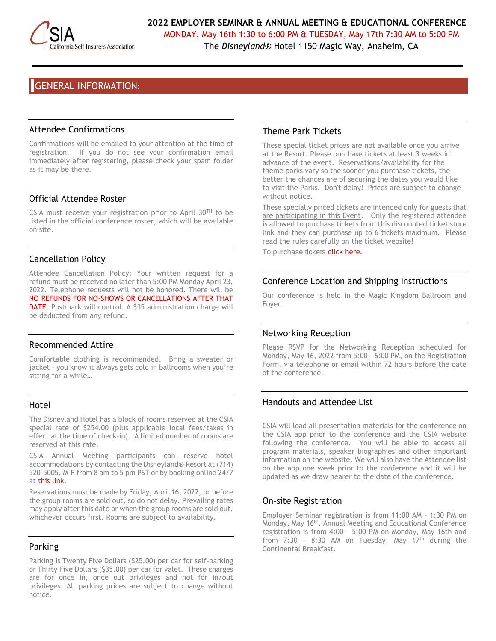

MONDAY, May 16th 1:30 to 6:00 PM & TUESDAY, May 17th 7:30 AM to 5:00 PM The *Disneyland*® Hotel 1150 Magic Way, Anaheim, CA

# GENERAL INFORMATION:

#### Attendee Confirmations

Confirmations will be emailed to your attention at the time of registration. If you do not see your confirmation email immediately after registering, please check your spam folder as it may be there.

#### Official Attendee Roster

CSIA must receive your registration prior to April  $30^{TH}$  to be listed in the official conference roster, which will be available on site.

## Cancellation Policy

Attendee Cancellation Policy: Your written request for a refund must be received no later than 5:00 PM Monday April 23, 2022. Telephone requests will not be honored. There will be NO REFUNDS FOR NO-SHOWS OR CANCELLATIONS AFTER THAT DATE. Postmark will control. A \$35 administration charge will be deducted from any refund.

#### Recommended Attire

Comfortable clothing is recommended. Bring a sweater or jacket – you know it always gets cold in ballrooms when you're sitting for a while…

#### Hotel

The Disneyland Hotel has a block of rooms reserved at the CSIA special rate of \$254.00 (plus applicable local fees/taxes in effect at the time of check-in). A limited number of rooms are reserved at this rate.

CSIA Annual Meeting participants can reserve hotel accommodations by contacting the Disneyland® Resort at (714) 520-5005, M-F from 8 am to 5 pm PST or by booking online 24/7 at [this link.](https://nam12.safelinks.protection.outlook.com/?url=https%3A%2F%2Fmydisneygroup.com%2Fgdce22a&data=04%7C01%7Cjilldulich%40securityfund.org%7C96eaf328c72a48709fd108d9df5337e5%7C4cf4ef00495241a6aac260e2ee311170%7C1%7C0%7C637786370784717926%7CUnknown%7CTWFpbGZsb3d8eyJWIjoiMC4wLjAwMDAiLCJQIjoiV2luMzIiLCJBTiI6Ik1haWwiLCJXVCI6Mn0%3D%7C3000&sdata=pxlEgArSL%2FHzO80fVmZFOPYcO8d6XYwy0h5C1TMZ27Q%3D&reserved=0)

Reservations must be made by Friday, April 16, 2022, or before the group rooms are sold out, so do not delay. Prevailing rates may apply after this date or when the group rooms are sold out, whichever occurs first. Rooms are subject to availability.

## Parking

Parking is Twenty Five Dollars (\$25.00) per car for self-parking or Thirty Five Dollars (\$35.00) per car for valet. These charges are for once in, once out privileges and not for in/out privileges. All parking prices are subject to change without notice.

## Theme Park Tickets

These special ticket prices are not available once you arrive at the Resort. Please purchase tickets at least 3 weeks in advance of the event. Reservations/availability for the theme parks vary so the sooner you purchase tickets, the better the chances are of securing the dates you would like to visit the Parks. Don't delay! Prices are subject to change without notice.

These specially priced tickets are intended only for guests that are participating in this Event. Only the registered attendee is allowed to purchase tickets from this discounted ticket store link and they can purchase up to 6 tickets maximum. Please read the rules carefully on the ticket website!

To purchase tickets [click here.](https://nam12.safelinks.protection.outlook.com/?url=https%3A%2F%2Fmydisneygroup.com%2Fgdce22a&data=04%7C01%7Cjilldulich%40securityfund.org%7C96eaf328c72a48709fd108d9df5337e5%7C4cf4ef00495241a6aac260e2ee311170%7C1%7C0%7C637786370784717926%7CUnknown%7CTWFpbGZsb3d8eyJWIjoiMC4wLjAwMDAiLCJQIjoiV2luMzIiLCJBTiI6Ik1haWwiLCJXVCI6Mn0%3D%7C3000&sdata=pxlEgArSL%2FHzO80fVmZFOPYcO8d6XYwy0h5C1TMZ27Q%3D&reserved=0)

## Conference Location and Shipping Instructions

Our conference is held in the Magic Kingdom Ballroom and Foyer.

## Networking Reception

Please RSVP for the Networking Reception scheduled for Monday, May 16, 2022 from 5:00 - 6:00 PM, on the Registration Form, via telephone or email within 72 hours before the date of the conference.

## Handouts and Attendee List

CSIA will load all presentation materials for the conference on the CSIA app prior to the conference and the CSIA website following the conference. You will be able to access all program materials, speaker biographies and other important information on the website. We will also have the Attendee list on the app one week prior to the conference and it will be updated as we draw nearer to the date of the conference.

## On-site Registration

Employer Seminar registration is from 11:00 AM – 1:30 PM on Monday, May 16<sup>th</sup>. Annual Meeting and Educational Conference registration is from 4:00 – 5:00 PM on Monday, May 16th and from  $7:30 - 8:30$  AM on Tuesday, May  $17<sup>th</sup>$  during the Continental Breakfast.